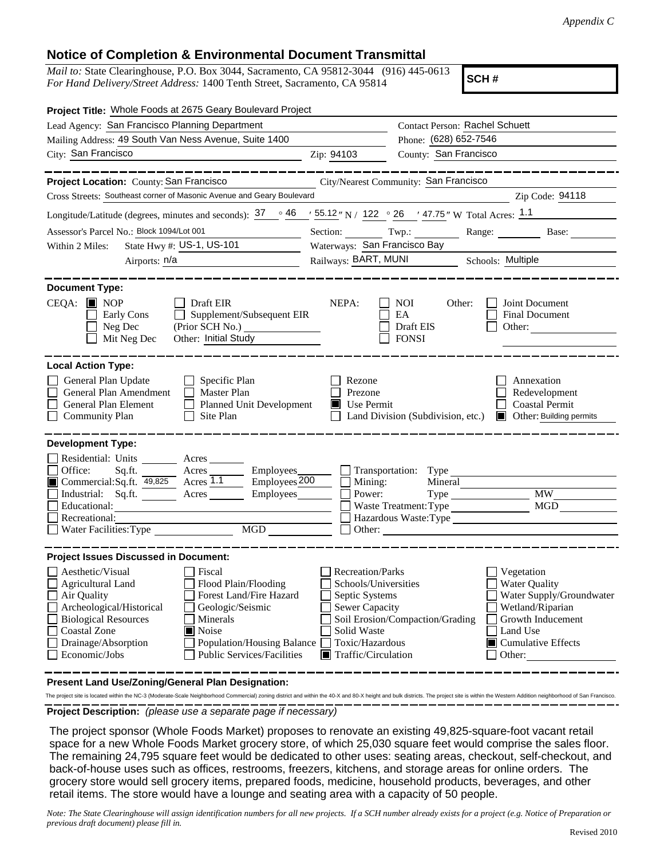## **Notice of Completion & Environmental Document Transmittal**

*Mail to:* State Clearinghouse, P.O. Box 3044, Sacramento, CA 95812-3044 (916) 445-0613 *For Hand Delivery/Street Address:* 1400 Tenth Street, Sacramento, CA 95814

**SCH #**

| Project Title: Whole Foods at 2675 Geary Boulevard Project                                                                                                                                                                                                                                                                                                                                                                                            |                                                                                                                                              |                                                  |                                                                                                                                                                    |
|-------------------------------------------------------------------------------------------------------------------------------------------------------------------------------------------------------------------------------------------------------------------------------------------------------------------------------------------------------------------------------------------------------------------------------------------------------|----------------------------------------------------------------------------------------------------------------------------------------------|--------------------------------------------------|--------------------------------------------------------------------------------------------------------------------------------------------------------------------|
| Lead Agency: San Francisco Planning Department                                                                                                                                                                                                                                                                                                                                                                                                        |                                                                                                                                              | Contact Person: Rachel Schuett                   |                                                                                                                                                                    |
| Mailing Address: 49 South Van Ness Avenue, Suite 1400                                                                                                                                                                                                                                                                                                                                                                                                 |                                                                                                                                              | Phone: (628) 652-7546                            |                                                                                                                                                                    |
| City: San Francisco                                                                                                                                                                                                                                                                                                                                                                                                                                   | Zip: 94103                                                                                                                                   | County: San Francisco                            |                                                                                                                                                                    |
|                                                                                                                                                                                                                                                                                                                                                                                                                                                       |                                                                                                                                              |                                                  |                                                                                                                                                                    |
| Project Location: County: San Francisco                                                                                                                                                                                                                                                                                                                                                                                                               |                                                                                                                                              | City/Nearest Community: San Francisco            |                                                                                                                                                                    |
| Cross Streets: Southeast corner of Masonic Avenue and Geary Boulevard                                                                                                                                                                                                                                                                                                                                                                                 |                                                                                                                                              |                                                  | Zip Code: 94118                                                                                                                                                    |
| Longitude/Latitude (degrees, minutes and seconds): $37 \degree$ 46 $\degree$ 55.12" N / 122 $\degree$ 26 $\degree$ 47.75" W Total Acres: 1.1                                                                                                                                                                                                                                                                                                          |                                                                                                                                              |                                                  |                                                                                                                                                                    |
| Assessor's Parcel No.: Block 1094/Lot 001                                                                                                                                                                                                                                                                                                                                                                                                             |                                                                                                                                              |                                                  | Section: Twp.: Range: Base:                                                                                                                                        |
| State Hwy #: US-1, US-101<br>Within 2 Miles:                                                                                                                                                                                                                                                                                                                                                                                                          | Waterways: San Francisco Bay                                                                                                                 |                                                  |                                                                                                                                                                    |
| Airports: n/a                                                                                                                                                                                                                                                                                                                                                                                                                                         |                                                                                                                                              | Railways: BART, MUNI Schools: Multiple           |                                                                                                                                                                    |
| <b>Document Type:</b><br>$CEQA:$ MOP<br>Draft EIR<br>Supplement/Subsequent EIR<br>Early Cons<br>Neg Dec<br>(Prior SCH No.)<br>Mit Neg Dec<br>Other: Initial Study                                                                                                                                                                                                                                                                                     | NEPA:                                                                                                                                        | NOI<br>Other:<br>EA<br>Draft EIS<br><b>FONSI</b> | Joint Document<br>Final Document<br>Other:                                                                                                                         |
| <b>Local Action Type:</b><br>General Plan Update<br>$\Box$ Specific Plan<br>General Plan Amendment<br>$\Box$ Master Plan<br>General Plan Element<br>Planned Unit Development<br><b>Community Plan</b><br>$\Box$ Site Plan<br><b>Development Type:</b><br>Residential: Units ________ Acres _____<br>Employees_______<br>Office:<br>Employees <sub>200</sub><br>Commercial:Sq.ft. 49,825 Acres 1.1<br>Industrial: Sq.ft.<br>Employees________<br>Acres | Rezone<br>Prezone<br>$\blacksquare$ Use Permit<br>Mining:<br>Power:                                                                          | Transportation: Type<br>Mineral                  | Annexation<br>Redevelopment<br><b>Coastal Permit</b><br>Land Division (Subdivision, etc.) <b>I</b> Other: Building permits<br><b>MW</b>                            |
| Educational:                                                                                                                                                                                                                                                                                                                                                                                                                                          |                                                                                                                                              | Waste Treatment: Type                            | <b>MGD</b>                                                                                                                                                         |
| Recreational:                                                                                                                                                                                                                                                                                                                                                                                                                                         |                                                                                                                                              |                                                  | Hazardous Waste:Type                                                                                                                                               |
| $\underbrace{\text{MGD}}$<br>Water Facilities: Type                                                                                                                                                                                                                                                                                                                                                                                                   |                                                                                                                                              |                                                  |                                                                                                                                                                    |
| <b>Project Issues Discussed in Document:</b>                                                                                                                                                                                                                                                                                                                                                                                                          |                                                                                                                                              |                                                  |                                                                                                                                                                    |
| Aesthetic/Visual<br>  Fiscal<br>Flood Plain/Flooding<br>$\Box$ Agricultural Land<br>Forest Land/Fire Hazard<br>Air Quality<br>Archeological/Historical<br>Geologic/Seismic<br><b>Biological Resources</b><br>Minerals<br>Noise<br><b>Coastal Zone</b><br>Drainage/Absorption<br><b>Population/Housing Balance</b><br>Economic/Jobs<br><b>Public Services/Facilities</b>                                                                               | <b>Recreation/Parks</b><br>Schools/Universities<br>Septic Systems<br>Sewer Capacity<br>Solid Waste<br>Toxic/Hazardous<br>Traffic/Circulation | Soil Erosion/Compaction/Grading                  | Vegetation<br><b>Water Quality</b><br>Water Supply/Groundwater<br>Wetland/Riparian<br>Growth Inducement<br>Land Use<br>$\blacksquare$ Cumulative Effects<br>Other: |

**Present Land Use/Zoning/General Plan Designation:**

**Project Description:** *(please use a separate page if necessary)* The project site is located within the NC-3 (Moderate-Scale Neighborhood Commercial) zoning district and within the 40-X and 80-X height and bulk districts. The project site is within the Western Addition neighborhood of S

 The project sponsor (Whole Foods Market) proposes to renovate an existing 49,825-square-foot vacant retail space for a new Whole Foods Market grocery store, of which 25,030 square feet would comprise the sales floor. The remaining 24,795 square feet would be dedicated to other uses: seating areas, checkout, self-checkout, and back-of-house uses such as offices, restrooms, freezers, kitchens, and storage areas for online orders. The grocery store would sell grocery items, prepared foods, medicine, household products, beverages, and other retail items. The store would have a lounge and seating area with a capacity of 50 people.

*Note: The State Clearinghouse will assign identification numbers for all new projects. If a SCH number already exists for a project (e.g. Notice of Preparation or previous draft document) please fill in.*